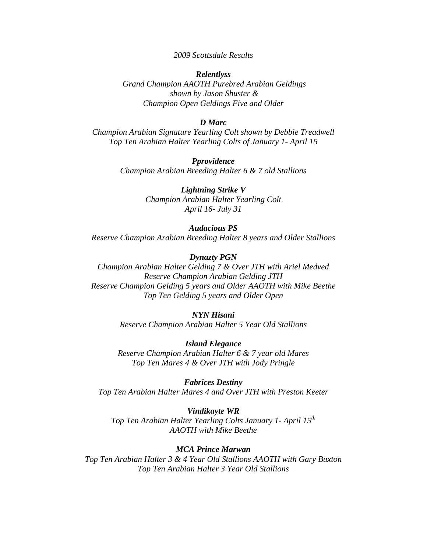## *2009 Scottsdale Results*

# *Relentlyss Grand Champion AAOTH Purebred Arabian Geldings shown by Jason Shuster & Champion Open Geldings Five and Older*

## *D Marc*

*Champion Arabian Signature Yearling Colt shown by Debbie Treadwell Top Ten Arabian Halter Yearling Colts of January 1- April 15* 

> *Pprovidence Champion Arabian Breeding Halter 6 & 7 old Stallions*

> > *Lightning Strike V Champion Arabian Halter Yearling Colt April 16- July 31*

*Audacious PS Reserve Champion Arabian Breeding Halter 8 years and Older Stallions* 

### *Dynazty PGN*

*Champion Arabian Halter Gelding 7 & Over JTH with Ariel Medved Reserve Champion Arabian Gelding JTH Reserve Champion Gelding 5 years and Older AAOTH with Mike Beethe Top Ten Gelding 5 years and Older Open* 

## *NYN Hisani*

*Reserve Champion Arabian Halter 5 Year Old Stallions* 

*Island Elegance Reserve Champion Arabian Halter 6 & 7 year old Mares Top Ten Mares 4 & Over JTH with Jody Pringle* 

*Fabrices Destiny Top Ten Arabian Halter Mares 4 and Over JTH with Preston Keeter* 

*Vindikayte WR Top Ten Arabian Halter Yearling Colts January 1- April 15th AAOTH with Mike Beethe* 

#### *MCA Prince Marwan*

*Top Ten Arabian Halter 3 & 4 Year Old Stallions AAOTH with Gary Buxton Top Ten Arabian Halter 3 Year Old Stallions*